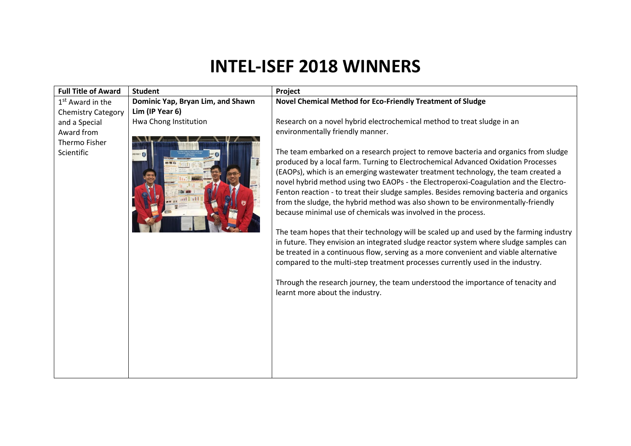## **INTEL-ISEF 2018 WINNERS**

| <b>Full Title of Award</b>  | <b>Student</b>                    | Project                                                                                                                                                                                                                                                                                                                                                                                                                                                                                                                                                                                                                                                                                                                                                                                                                                                                                                                                                                                                                                                                                    |
|-----------------------------|-----------------------------------|--------------------------------------------------------------------------------------------------------------------------------------------------------------------------------------------------------------------------------------------------------------------------------------------------------------------------------------------------------------------------------------------------------------------------------------------------------------------------------------------------------------------------------------------------------------------------------------------------------------------------------------------------------------------------------------------------------------------------------------------------------------------------------------------------------------------------------------------------------------------------------------------------------------------------------------------------------------------------------------------------------------------------------------------------------------------------------------------|
| $1st$ Award in the          | Dominic Yap, Bryan Lim, and Shawn | Novel Chemical Method for Eco-Friendly Treatment of Sludge                                                                                                                                                                                                                                                                                                                                                                                                                                                                                                                                                                                                                                                                                                                                                                                                                                                                                                                                                                                                                                 |
| <b>Chemistry Category</b>   | Lim (IP Year 6)                   |                                                                                                                                                                                                                                                                                                                                                                                                                                                                                                                                                                                                                                                                                                                                                                                                                                                                                                                                                                                                                                                                                            |
| and a Special               | Hwa Chong Institution             | Research on a novel hybrid electrochemical method to treat sludge in an                                                                                                                                                                                                                                                                                                                                                                                                                                                                                                                                                                                                                                                                                                                                                                                                                                                                                                                                                                                                                    |
| Award from                  |                                   | environmentally friendly manner.                                                                                                                                                                                                                                                                                                                                                                                                                                                                                                                                                                                                                                                                                                                                                                                                                                                                                                                                                                                                                                                           |
| Thermo Fisher<br>Scientific |                                   | The team embarked on a research project to remove bacteria and organics from sludge<br>produced by a local farm. Turning to Electrochemical Advanced Oxidation Processes<br>(EAOPs), which is an emerging wastewater treatment technology, the team created a<br>novel hybrid method using two EAOPs - the Electroperoxi-Coagulation and the Electro-<br>Fenton reaction - to treat their sludge samples. Besides removing bacteria and organics<br>from the sludge, the hybrid method was also shown to be environmentally-friendly<br>because minimal use of chemicals was involved in the process.<br>The team hopes that their technology will be scaled up and used by the farming industry<br>in future. They envision an integrated sludge reactor system where sludge samples can<br>be treated in a continuous flow, serving as a more convenient and viable alternative<br>compared to the multi-step treatment processes currently used in the industry.<br>Through the research journey, the team understood the importance of tenacity and<br>learnt more about the industry. |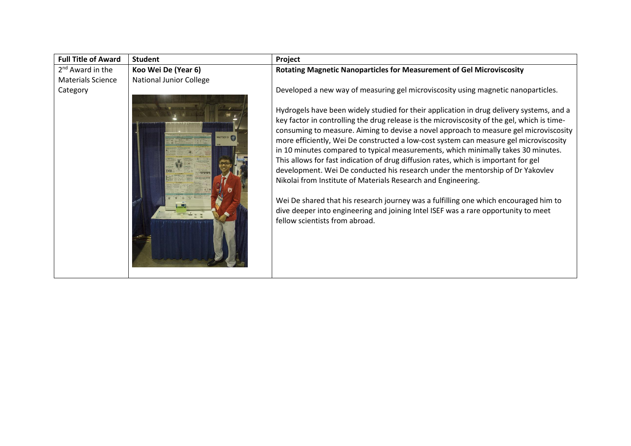| <b>Full Title of Award</b>   | <b>Student</b>                 | Project                                                                                                                                                                                                                                                                                                                                                                                                                                                                                                                                                                                                                                                                                                                                                                                                                                                                                                                  |
|------------------------------|--------------------------------|--------------------------------------------------------------------------------------------------------------------------------------------------------------------------------------------------------------------------------------------------------------------------------------------------------------------------------------------------------------------------------------------------------------------------------------------------------------------------------------------------------------------------------------------------------------------------------------------------------------------------------------------------------------------------------------------------------------------------------------------------------------------------------------------------------------------------------------------------------------------------------------------------------------------------|
| 2 <sup>nd</sup> Award in the | Koo Wei De (Year 6)            | <b>Rotating Magnetic Nanoparticles for Measurement of Gel Microviscosity</b>                                                                                                                                                                                                                                                                                                                                                                                                                                                                                                                                                                                                                                                                                                                                                                                                                                             |
| <b>Materials Science</b>     | <b>National Junior College</b> |                                                                                                                                                                                                                                                                                                                                                                                                                                                                                                                                                                                                                                                                                                                                                                                                                                                                                                                          |
| Category                     |                                | Developed a new way of measuring gel microviscosity using magnetic nanoparticles.                                                                                                                                                                                                                                                                                                                                                                                                                                                                                                                                                                                                                                                                                                                                                                                                                                        |
|                              | <b>T5013</b>                   | Hydrogels have been widely studied for their application in drug delivery systems, and a<br>key factor in controlling the drug release is the microviscosity of the gel, which is time-<br>consuming to measure. Aiming to devise a novel approach to measure gel microviscosity<br>more efficiently, Wei De constructed a low-cost system can measure gel microviscosity<br>in 10 minutes compared to typical measurements, which minimally takes 30 minutes.<br>This allows for fast indication of drug diffusion rates, which is important for gel<br>development. Wei De conducted his research under the mentorship of Dr Yakovlev<br>Nikolai from Institute of Materials Research and Engineering.<br>Wei De shared that his research journey was a fulfilling one which encouraged him to<br>dive deeper into engineering and joining Intel ISEF was a rare opportunity to meet<br>fellow scientists from abroad. |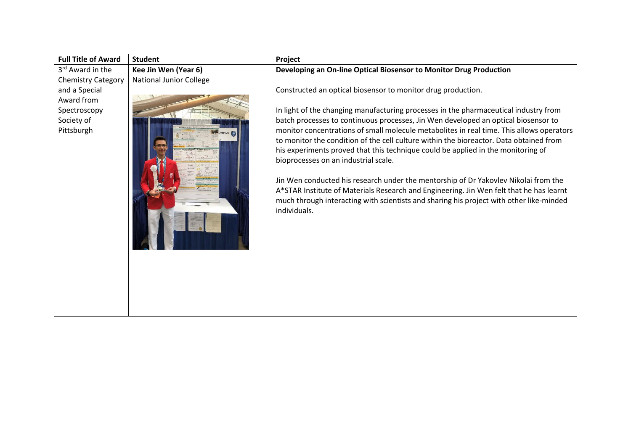| <b>Full Title of Award</b> | <b>Student</b>                 | Project                                                                                  |
|----------------------------|--------------------------------|------------------------------------------------------------------------------------------|
| 3rd Award in the           | Kee Jin Wen (Year 6)           | Developing an On-line Optical Biosensor to Monitor Drug Production                       |
| <b>Chemistry Category</b>  | <b>National Junior College</b> |                                                                                          |
| and a Special              |                                | Constructed an optical biosensor to monitor drug production.                             |
| Award from                 |                                |                                                                                          |
| Spectroscopy               |                                | In light of the changing manufacturing processes in the pharmaceutical industry from     |
| Society of                 |                                | batch processes to continuous processes, Jin Wen developed an optical biosensor to       |
| Pittsburgh                 |                                | monitor concentrations of small molecule metabolites in real time. This allows operators |
|                            |                                | to monitor the condition of the cell culture within the bioreactor. Data obtained from   |
|                            |                                | his experiments proved that this technique could be applied in the monitoring of         |
|                            |                                | bioprocesses on an industrial scale.                                                     |
|                            |                                |                                                                                          |
|                            |                                | Jin Wen conducted his research under the mentorship of Dr Yakovlev Nikolai from the      |
|                            |                                | A*STAR Institute of Materials Research and Engineering. Jin Wen felt that he has learnt  |
|                            |                                | much through interacting with scientists and sharing his project with other like-minded  |
|                            |                                | individuals.                                                                             |
|                            |                                |                                                                                          |
|                            |                                |                                                                                          |
|                            |                                |                                                                                          |
|                            |                                |                                                                                          |
|                            |                                |                                                                                          |
|                            |                                |                                                                                          |
|                            |                                |                                                                                          |
|                            |                                |                                                                                          |
|                            |                                |                                                                                          |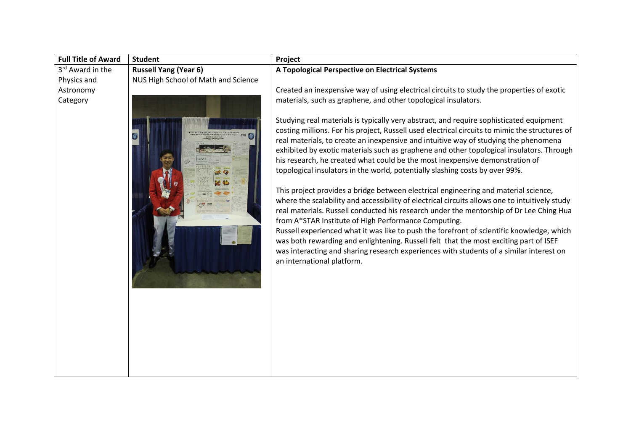| <b>Full Title of Award</b> | <b>Student</b>                      | Project                                                                                                                                                                                                                                                                                                                                                                                                                                         |
|----------------------------|-------------------------------------|-------------------------------------------------------------------------------------------------------------------------------------------------------------------------------------------------------------------------------------------------------------------------------------------------------------------------------------------------------------------------------------------------------------------------------------------------|
| 3rd Award in the           | <b>Russell Yang (Year 6)</b>        | A Topological Perspective on Electrical Systems                                                                                                                                                                                                                                                                                                                                                                                                 |
| Physics and                | NUS High School of Math and Science |                                                                                                                                                                                                                                                                                                                                                                                                                                                 |
| Astronomy                  |                                     | Created an inexpensive way of using electrical circuits to study the properties of exotic                                                                                                                                                                                                                                                                                                                                                       |
| Category                   |                                     | materials, such as graphene, and other topological insulators.<br>Studying real materials is typically very abstract, and require sophisticated equipment<br>costing millions. For his project, Russell used electrical circuits to mimic the structures of<br>real materials, to create an inexpensive and intuitive way of studying the phenomena<br>exhibited by exotic materials such as graphene and other topological insulators. Through |
|                            |                                     | his research, he created what could be the most inexpensive demonstration of<br>topological insulators in the world, potentially slashing costs by over 99%.                                                                                                                                                                                                                                                                                    |
|                            |                                     | This project provides a bridge between electrical engineering and material science,<br>where the scalability and accessibility of electrical circuits allows one to intuitively study                                                                                                                                                                                                                                                           |
|                            |                                     | real materials. Russell conducted his research under the mentorship of Dr Lee Ching Hua<br>from A*STAR Institute of High Performance Computing.                                                                                                                                                                                                                                                                                                 |
|                            |                                     | Russell experienced what it was like to push the forefront of scientific knowledge, which<br>was both rewarding and enlightening. Russell felt that the most exciting part of ISEF<br>was interacting and sharing research experiences with students of a similar interest on<br>an international platform.                                                                                                                                     |
|                            |                                     |                                                                                                                                                                                                                                                                                                                                                                                                                                                 |
|                            |                                     |                                                                                                                                                                                                                                                                                                                                                                                                                                                 |
|                            |                                     |                                                                                                                                                                                                                                                                                                                                                                                                                                                 |
|                            |                                     |                                                                                                                                                                                                                                                                                                                                                                                                                                                 |
|                            |                                     |                                                                                                                                                                                                                                                                                                                                                                                                                                                 |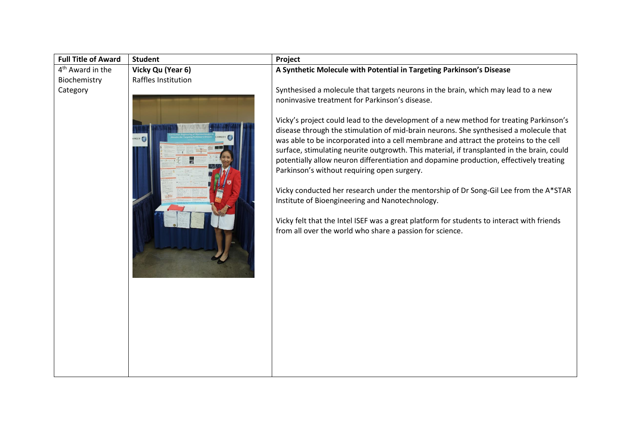| <b>Full Title of Award</b>   | <b>Student</b>      | Project                                                                                                                                                                                                                                                                                                                                                                                                                                                                                                                                                                                                                                                                                                                                                                                                                                                               |
|------------------------------|---------------------|-----------------------------------------------------------------------------------------------------------------------------------------------------------------------------------------------------------------------------------------------------------------------------------------------------------------------------------------------------------------------------------------------------------------------------------------------------------------------------------------------------------------------------------------------------------------------------------------------------------------------------------------------------------------------------------------------------------------------------------------------------------------------------------------------------------------------------------------------------------------------|
| 4 <sup>th</sup> Award in the | Vicky Qu (Year 6)   | A Synthetic Molecule with Potential in Targeting Parkinson's Disease                                                                                                                                                                                                                                                                                                                                                                                                                                                                                                                                                                                                                                                                                                                                                                                                  |
| Biochemistry                 | Raffles Institution |                                                                                                                                                                                                                                                                                                                                                                                                                                                                                                                                                                                                                                                                                                                                                                                                                                                                       |
| Category                     |                     | Synthesised a molecule that targets neurons in the brain, which may lead to a new                                                                                                                                                                                                                                                                                                                                                                                                                                                                                                                                                                                                                                                                                                                                                                                     |
|                              |                     | noninvasive treatment for Parkinson's disease.<br>Vicky's project could lead to the development of a new method for treating Parkinson's<br>disease through the stimulation of mid-brain neurons. She synthesised a molecule that<br>was able to be incorporated into a cell membrane and attract the proteins to the cell<br>surface, stimulating neurite outgrowth. This material, if transplanted in the brain, could<br>potentially allow neuron differentiation and dopamine production, effectively treating<br>Parkinson's without requiring open surgery.<br>Vicky conducted her research under the mentorship of Dr Song-Gil Lee from the A*STAR<br>Institute of Bioengineering and Nanotechnology.<br>Vicky felt that the Intel ISEF was a great platform for students to interact with friends<br>from all over the world who share a passion for science. |